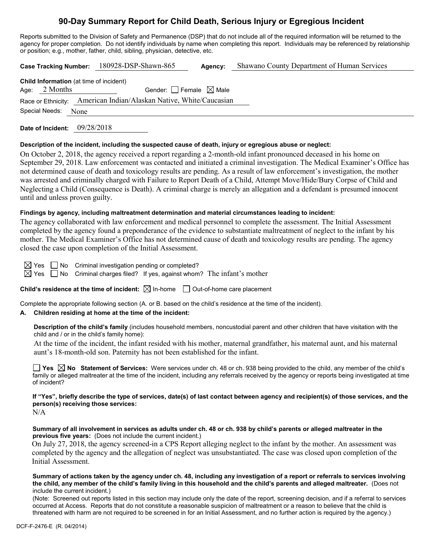# **90-Day Summary Report for Child Death, Serious Injury or Egregious Incident**

Reports submitted to the Division of Safety and Permanence (DSP) that do not include all of the required information will be returned to the agency for proper completion. Do not identify individuals by name when completing this report. Individuals may be referenced by relationship or position; e.g., mother, father, child, sibling, physician, detective, etc.

|                                                                   | Case Tracking Number: 180928-DSP-Shawn-865                         | Agency: | Shawano County Department of Human Services |
|-------------------------------------------------------------------|--------------------------------------------------------------------|---------|---------------------------------------------|
| <b>Child Information</b> (at time of incident)<br>Age: $2$ Months | Gender: $ $ Female $\boxtimes$ Male                                |         |                                             |
|                                                                   | Race or Ethnicity: American Indian/Alaskan Native, White/Caucasian |         |                                             |
| Special Needs:<br>None                                            |                                                                    |         |                                             |

**Date of Incident:** 09/28/2018

## **Description of the incident, including the suspected cause of death, injury or egregious abuse or neglect:**

On October 2, 2018, the agency received a report regarding a 2-month-old infant pronounced deceased in his home on September 29, 2018. Law enforcement was contacted and initiated a criminal investigation. The Medical Examiner's Office has not determined cause of death and toxicology results are pending. As a result of law enforcement's investigation, the mother was arrested and criminally charged with Failure to Report Death of a Child, Attempt Move/Hide/Bury Corpse of Child and Neglecting a Child (Consequence is Death). A criminal charge is merely an allegation and a defendant is presumed innocent until and unless proven guilty.

## **Findings by agency, including maltreatment determination and material circumstances leading to incident:**

The agency collaborated with law enforcement and medical personnel to complete the assessment. The Initial Assessment completed by the agency found a preponderance of the evidence to substantiate maltreatment of neglect to the infant by his mother. The Medical Examiner's Office has not determined cause of death and toxicology results are pending. The agency closed the case upon completion of the Initial Assessment.

 $\boxtimes$  Yes  $\Box$  No Criminal investigation pending or completed?

 $\boxtimes$  Yes  $\Box$  No Criminal charges filed? If yes, against whom? The infant's mother

**Child's residence at the time of incident:**  $\boxtimes$  In-home  $\Box$  Out-of-home care placement

Complete the appropriate following section (A. or B. based on the child's residence at the time of the incident).

# **A. Children residing at home at the time of the incident:**

**Description of the child's family** (includes household members, noncustodial parent and other children that have visitation with the child and / or in the child's family home):

At the time of the incident, the infant resided with his mother, maternal grandfather, his maternal aunt, and his maternal aunt's 18-month-old son. Paternity has not been established for the infant.

**Yes No Statement of Services:** Were services under ch. 48 or ch. 938 being provided to the child, any member of the child's family or alleged maltreater at the time of the incident, including any referrals received by the agency or reports being investigated at time of incident?

**If "Yes", briefly describe the type of services, date(s) of last contact between agency and recipient(s) of those services, and the person(s) receiving those services:**

 $N/A$ 

**Summary of all involvement in services as adults under ch. 48 or ch. 938 by child's parents or alleged maltreater in the previous five years:** (Does not include the current incident.)

On July 27, 2018, the agency screened-in a CPS Report alleging neglect to the infant by the mother. An assessment was completed by the agency and the allegation of neglect was unsubstantiated. The case was closed upon completion of the Initial Assessment.

**Summary of actions taken by the agency under ch. 48, including any investigation of a report or referrals to services involving the child, any member of the child's family living in this household and the child's parents and alleged maltreater.** (Does not include the current incident.)

(Note: Screened out reports listed in this section may include only the date of the report, screening decision, and if a referral to services occurred at Access. Reports that do not constitute a reasonable suspicion of maltreatment or a reason to believe that the child is threatened with harm are not required to be screened in for an Initial Assessment, and no further action is required by the agency.)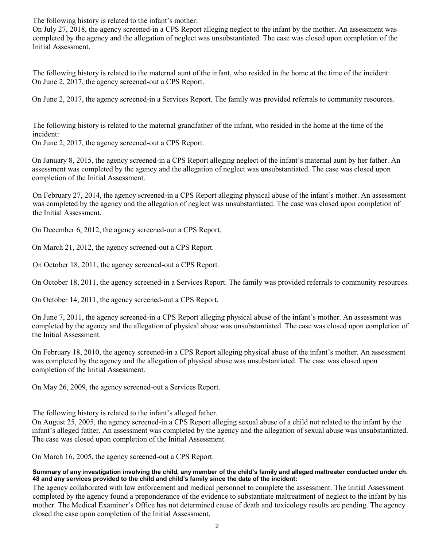The following history is related to the infant's mother:

On July 27, 2018, the agency screened-in a CPS Report alleging neglect to the infant by the mother. An assessment was completed by the agency and the allegation of neglect was unsubstantiated. The case was closed upon completion of the Initial Assessment.

The following history is related to the maternal aunt of the infant, who resided in the home at the time of the incident: On June 2, 2017, the agency screened-out a CPS Report.

On June 2, 2017, the agency screened-in a Services Report. The family was provided referrals to community resources.

The following history is related to the maternal grandfather of the infant, who resided in the home at the time of the incident:

On June 2, 2017, the agency screened-out a CPS Report.

On January 8, 2015, the agency screened-in a CPS Report alleging neglect of the infant's maternal aunt by her father. An assessment was completed by the agency and the allegation of neglect was unsubstantiated. The case was closed upon completion of the Initial Assessment.

On February 27, 2014, the agency screened-in a CPS Report alleging physical abuse of the infant's mother. An assessment was completed by the agency and the allegation of neglect was unsubstantiated. The case was closed upon completion of the Initial Assessment.

On December 6, 2012, the agency screened-out a CPS Report.

On March 21, 2012, the agency screened-out a CPS Report.

On October 18, 2011, the agency screened-out a CPS Report.

On October 18, 2011, the agency screened-in a Services Report. The family was provided referrals to community resources.

On October 14, 2011, the agency screened-out a CPS Report.

On June 7, 2011, the agency screened-in a CPS Report alleging physical abuse of the infant's mother. An assessment was completed by the agency and the allegation of physical abuse was unsubstantiated. The case was closed upon completion of the Initial Assessment.

On February 18, 2010, the agency screened-in a CPS Report alleging physical abuse of the infant's mother. An assessment was completed by the agency and the allegation of physical abuse was unsubstantiated. The case was closed upon completion of the Initial Assessment.

On May 26, 2009, the agency screened-out a Services Report.

The following history is related to the infant's alleged father.

On August 25, 2005, the agency screened-in a CPS Report alleging sexual abuse of a child not related to the infant by the infant's alleged father. An assessment was completed by the agency and the allegation of sexual abuse was unsubstantiated. The case was closed upon completion of the Initial Assessment.

On March 16, 2005, the agency screened-out a CPS Report.

## **Summary of any investigation involving the child, any member of the child's family and alleged maltreater conducted under ch. 48 and any services provided to the child and child's family since the date of the incident:**

The agency collaborated with law enforcement and medical personnel to complete the assessment. The Initial Assessment completed by the agency found a preponderance of the evidence to substantiate maltreatment of neglect to the infant by his mother. The Medical Examiner's Office has not determined cause of death and toxicology results are pending. The agency closed the case upon completion of the Initial Assessment.